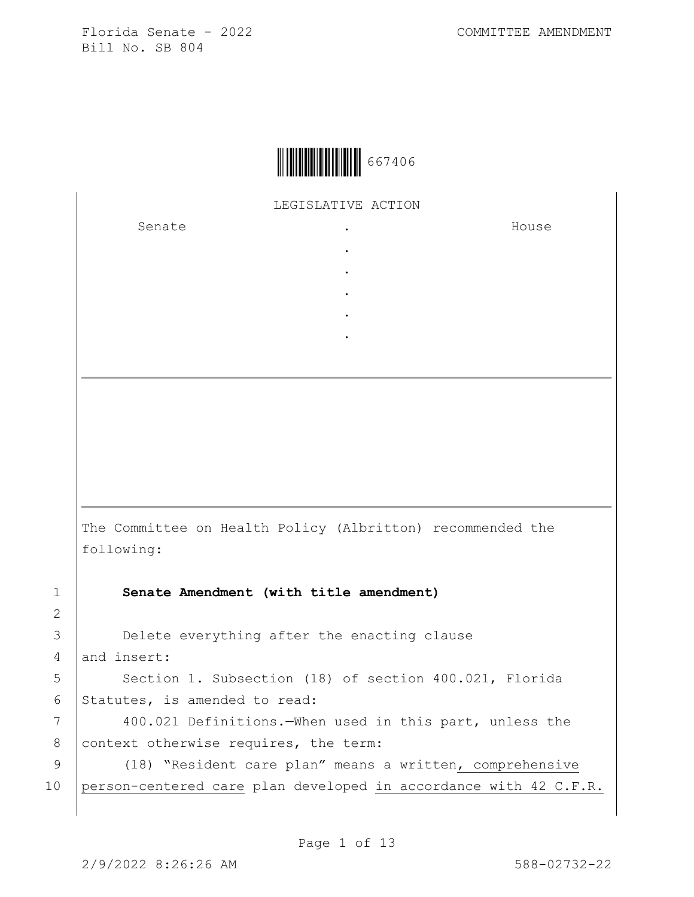

LEGISLATIVE ACTION

. . . . .

Senate .

House

The Committee on Health Policy (Albritton) recommended the following:

1 **Senate Amendment (with title amendment)**

3 Delete everything after the enacting clause 4 and insert:

5 | Section 1. Subsection (18) of section 400.021, Florida 6 Statutes, is amended to read:

7 | 400.021 Definitions.—When used in this part, unless the 8 context otherwise requires, the term:

9 (18) "Resident care plan" means a written, comprehensive 10 person-centered care plan developed in accordance with 42 C.F.R.

2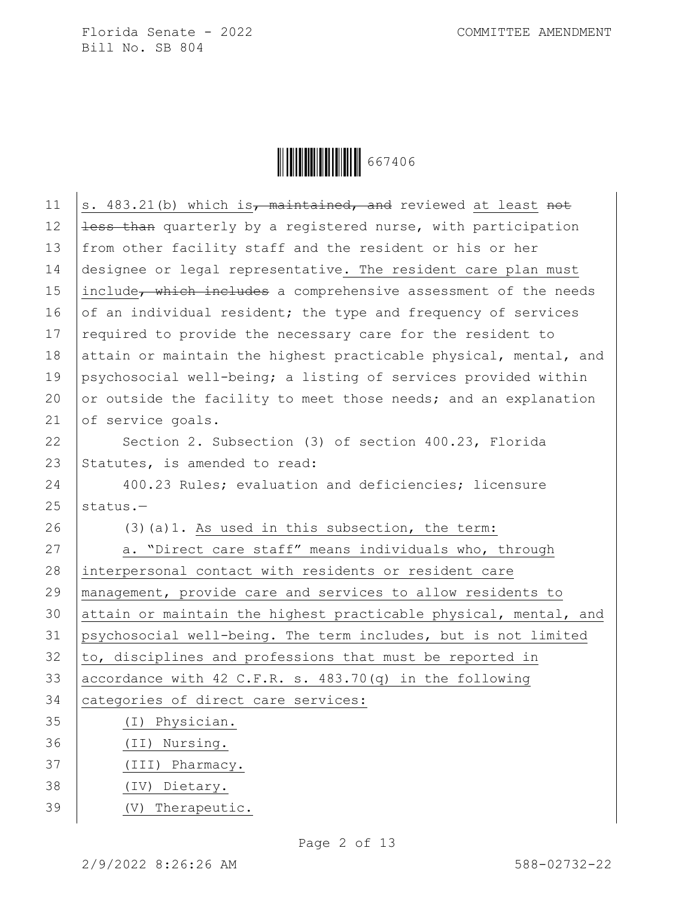Ì6674060Î667406

| 11 | s. 483.21(b) which is, maintained, and reviewed at least not     |
|----|------------------------------------------------------------------|
| 12 | less than quarterly by a registered nurse, with participation    |
| 13 | from other facility staff and the resident or his or her         |
| 14 | designee or legal representative. The resident care plan must    |
| 15 | include, which includes a comprehensive assessment of the needs  |
| 16 | of an individual resident; the type and frequency of services    |
| 17 | required to provide the necessary care for the resident to       |
| 18 | attain or maintain the highest practicable physical, mental, and |
| 19 | psychosocial well-being; a listing of services provided within   |
| 20 | or outside the facility to meet those needs; and an explanation  |
| 21 | of service goals.                                                |
| 22 | Section 2. Subsection (3) of section 400.23, Florida             |
| 23 | Statutes, is amended to read:                                    |
| 24 | 400.23 Rules; evaluation and deficiencies; licensure             |
| 25 | status.-                                                         |
|    |                                                                  |
| 26 | $(3)$ (a)1. As used in this subsection, the term:                |
| 27 | a. "Direct care staff" means individuals who, through            |
| 28 | interpersonal contact with residents or resident care            |
| 29 | management, provide care and services to allow residents to      |
| 30 | attain or maintain the highest practicable physical, mental, and |
| 31 | psychosocial well-being. The term includes, but is not limited   |
| 32 | to, disciplines and professions that must be reported in         |
| 33 | accordance with 42 C.F.R. s. $483.70(q)$ in the following        |
| 34 | categories of direct care services:                              |
| 35 | Physician.<br>(I)                                                |
| 36 | Nursing.<br>(TI)                                                 |
| 37 | Pharmacy.<br>(III)                                               |
| 38 | Dietary.<br>(TV)                                                 |
| 39 | Therapeutic.<br>(V)                                              |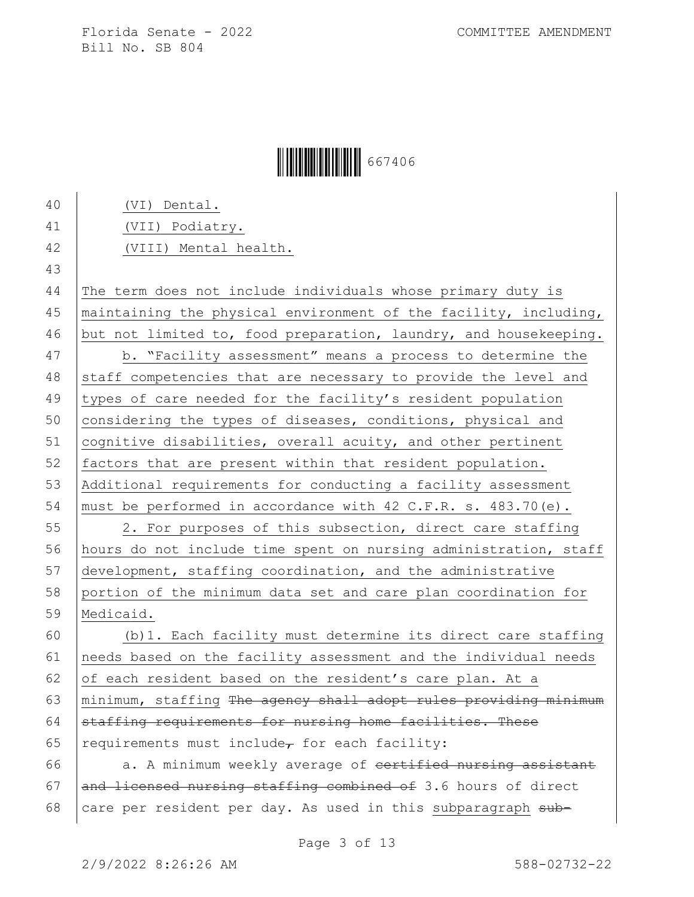## **ÖEFFERDER (1994)** 667406

 (VI) Dental. (VII) Podiatry. (VIII) Mental health. 43 The term does not include individuals whose primary duty is 45 | maintaining the physical environment of the facility, including, 46 but not limited to, food preparation, laundry, and housekeeping. b. "Facility assessment" means a process to determine the 48 staff competencies that are necessary to provide the level and 49 types of care needed for the facility's resident population 50 considering the types of diseases, conditions, physical and cognitive disabilities, overall acuity, and other pertinent 52 factors that are present within that resident population. Additional requirements for conducting a facility assessment must be performed in accordance with 42 C.F.R. s. 483.70(e). 2. For purposes of this subsection, direct care staffing hours do not include time spent on nursing administration, staff development, staffing coordination, and the administrative portion of the minimum data set and care plan coordination for Medicaid. (b)1. Each facility must determine its direct care staffing needs based on the facility assessment and the individual needs 62 of each resident based on the resident's care plan. At a  $\mid$  minimum, staffing The agency shall adopt rules providing minimum staffing requirements for nursing home facilities. These 65 requirements must include<sub> $\tau$ </sub> for each facility:  $a. A minimum weekly average of  $certified$  nursing assistant$  $\vert$  and licensed nursing staffing combined of 3.6 hours of direct 68 care per resident per day. As used in this subparagraph  $sub-$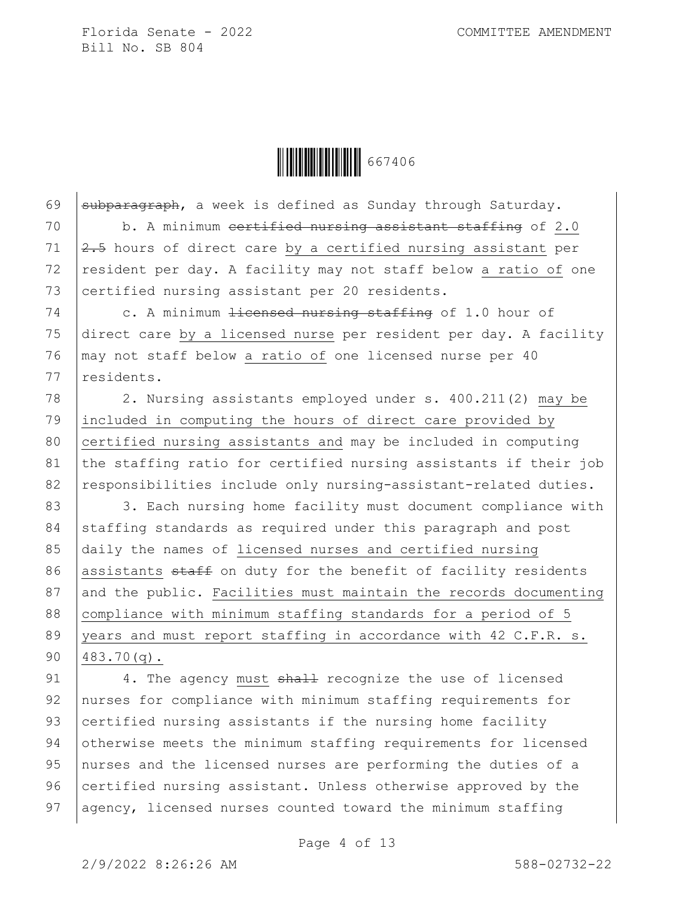

69  $\sqrt{\frac{1}{100}}$  subparagraph, a week is defined as Sunday through Saturday. 70 b. A minimum certified nursing assistant staffing of 2.0 71  $\left| \frac{2.5}{1} \right|$  hours of direct care by a certified nursing assistant per 72 resident per day. A facility may not staff below a ratio of one 73 certified nursing assistant per 20 residents. 74 c. A minimum <del>licensed nursing staffing</del> of 1.0 hour of 75 direct care by a licensed nurse per resident per day. A facility 76 may not staff below a ratio of one licensed nurse per 40 77 residents. 78 2. Nursing assistants employed under s. 400.211(2) may be 79 included in computing the hours of direct care provided by 80 certified nursing assistants and may be included in computing 81 the staffing ratio for certified nursing assistants if their job 82 | responsibilities include only nursing-assistant-related duties. 83 3. Each nursing home facility must document compliance with 84 staffing standards as required under this paragraph and post 85 daily the names of licensed nurses and certified nursing 86 assistants  $\frac{1}{2}$  staff on duty for the benefit of facility residents 87 and the public. Facilities must maintain the records documenting 88 compliance with minimum staffing standards for a period of 5 89 vears and must report staffing in accordance with 42 C.F.R. s. 90 483.70(q).

91 4. The agency must shall recognize the use of licensed 92 nurses for compliance with minimum staffing requirements for 93 certified nursing assistants if the nursing home facility 94 otherwise meets the minimum staffing requirements for licensed 95 nurses and the licensed nurses are performing the duties of a 96 certified nursing assistant. Unless otherwise approved by the 97 agency, licensed nurses counted toward the minimum staffing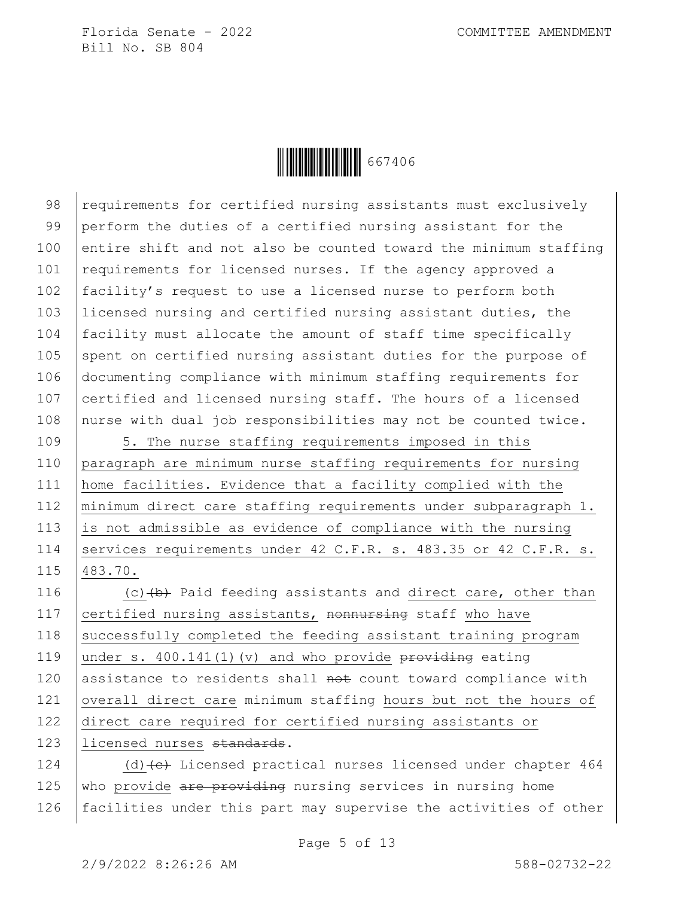

98 requirements for certified nursing assistants must exclusively 99 perform the duties of a certified nursing assistant for the 100 entire shift and not also be counted toward the minimum staffing 101 requirements for licensed nurses. If the agency approved a 102 | facility's request to use a licensed nurse to perform both 103 licensed nursing and certified nursing assistant duties, the 104 facility must allocate the amount of staff time specifically 105 spent on certified nursing assistant duties for the purpose of 106 documenting compliance with minimum staffing requirements for 107 certified and licensed nursing staff. The hours of a licensed 108 nurse with dual job responsibilities may not be counted twice.

109 3. The nurse staffing requirements imposed in this 110 paragraph are minimum nurse staffing requirements for nursing 111 home facilities. Evidence that a facility complied with the 112 minimum direct care staffing requirements under subparagraph 1. 113 is not admissible as evidence of compliance with the nursing 114 Services requirements under 42 C.F.R. s. 483.35 or 42 C.F.R. s. 115 483.70.

116  $(c)$  (c)  $(b)$  Paid feeding assistants and direct care, other than 117 certified nursing assistants, nonnursing staff who have 118 successfully completed the feeding assistant training program 119 under s. 400.141(1)(v) and who provide  $\frac{1}{2}$  providing eating 120 assistance to residents shall  $not$  count toward compliance with 121 overall direct care minimum staffing hours but not the hours of 122 direct care required for certified nursing assistants or 123 | licensed nurses standards.

124  $(d)$  (d) (e) Licensed practical nurses licensed under chapter 464 125 who provide are providing nursing services in nursing home 126 | facilities under this part may supervise the activities of other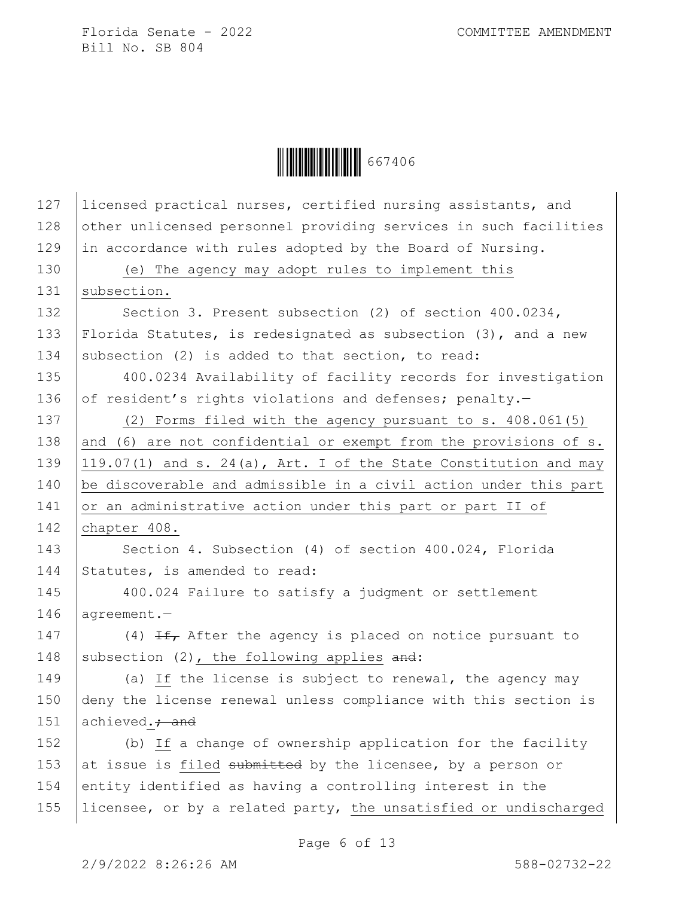

127 Iicensed practical nurses, certified nursing assistants, and 128 other unlicensed personnel providing services in such facilities 129 in accordance with rules adopted by the Board of Nursing. 130 (e) The agency may adopt rules to implement this 131 | subsection. 132 Section 3. Present subsection (2) of section 400.0234, 133 Florida Statutes, is redesignated as subsection (3), and a new 134 subsection (2) is added to that section, to read: 135 400.0234 Availability of facility records for investigation 136 of resident's rights violations and defenses; penalty.-137 (2) Forms filed with the agency pursuant to s. 408.061(5) 138 and (6) are not confidential or exempt from the provisions of  $s$ . 139  $\vert$  119.07(1) and s. 24(a), Art. I of the State Constitution and may 140 be discoverable and admissible in a civil action under this part 141 or an administrative action under this part or part II of 142 chapter 408. 143 Section 4. Subsection (4) of section 400.024, Florida 144 Statutes, is amended to read: 145 400.024 Failure to satisfy a judgment or settlement 146 agreement.-147  $(4)$  If, After the agency is placed on notice pursuant to 148 subsection (2), the following applies  $and:$ 149 (a) If the license is subject to renewal, the agency may 150 deny the license renewal unless compliance with this section is 151  $\alpha$  achieved.; and 152 (b) If a change of ownership application for the facility 153 at issue is filed submitted by the licensee, by a person or 154 entity identified as having a controlling interest in the 155 | licensee, or by a related party, the unsatisfied or undischarged

Page 6 of 13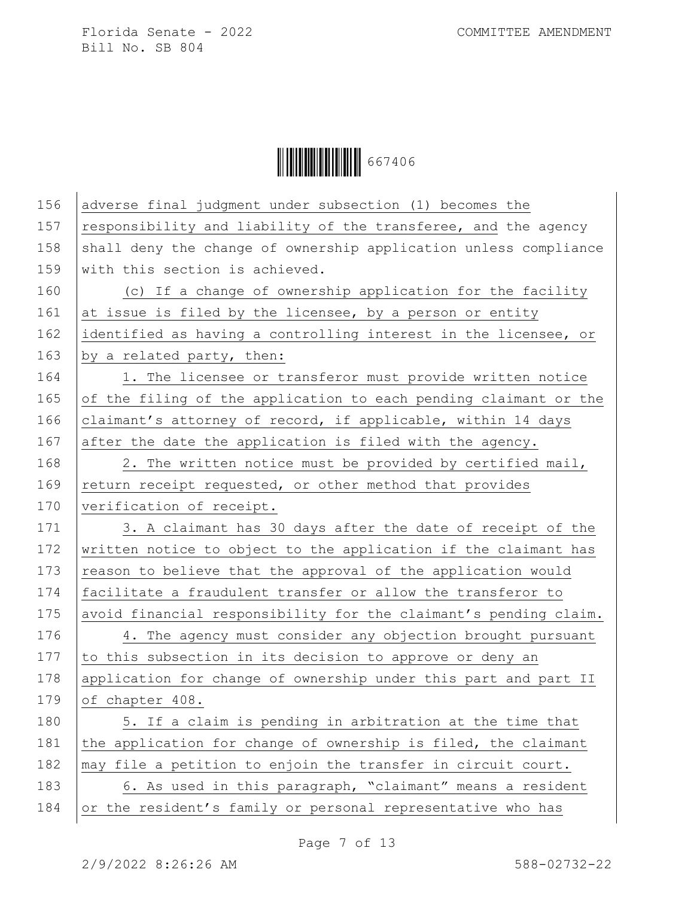Ì6674060Î667406

| 156 | adverse final judgment under subsection (1) becomes the          |
|-----|------------------------------------------------------------------|
| 157 | responsibility and liability of the transferee, and the agency   |
| 158 | shall deny the change of ownership application unless compliance |
| 159 | with this section is achieved.                                   |
| 160 | (c) If a change of ownership application for the facility        |
| 161 | at issue is filed by the licensee, by a person or entity         |
| 162 | identified as having a controlling interest in the licensee, or  |
| 163 | by a related party, then:                                        |
| 164 | 1. The licensee or transferor must provide written notice        |
| 165 | of the filing of the application to each pending claimant or the |
| 166 | claimant's attorney of record, if applicable, within 14 days     |
| 167 | after the date the application is filed with the agency.         |
| 168 | 2. The written notice must be provided by certified mail,        |
| 169 | return receipt requested, or other method that provides          |
| 170 | verification of receipt.                                         |
| 171 | 3. A claimant has 30 days after the date of receipt of the       |
| 172 | written notice to object to the application if the claimant has  |
| 173 | reason to believe that the approval of the application would     |
| 174 | facilitate a fraudulent transfer or allow the transferor to      |
| 175 | avoid financial responsibility for the claimant's pending claim. |
| 176 | 4. The agency must consider any objection brought pursuant       |
| 177 | to this subsection in its decision to approve or deny an         |
| 178 | application for change of ownership under this part and part II  |
| 179 | of chapter 408.                                                  |
| 180 | 5. If a claim is pending in arbitration at the time that         |
| 181 | the application for change of ownership is filed, the claimant   |
| 182 | may file a petition to enjoin the transfer in circuit court.     |
| 183 | 6. As used in this paragraph, "claimant" means a resident        |
| 184 | or the resident's family or personal representative who has      |
|     |                                                                  |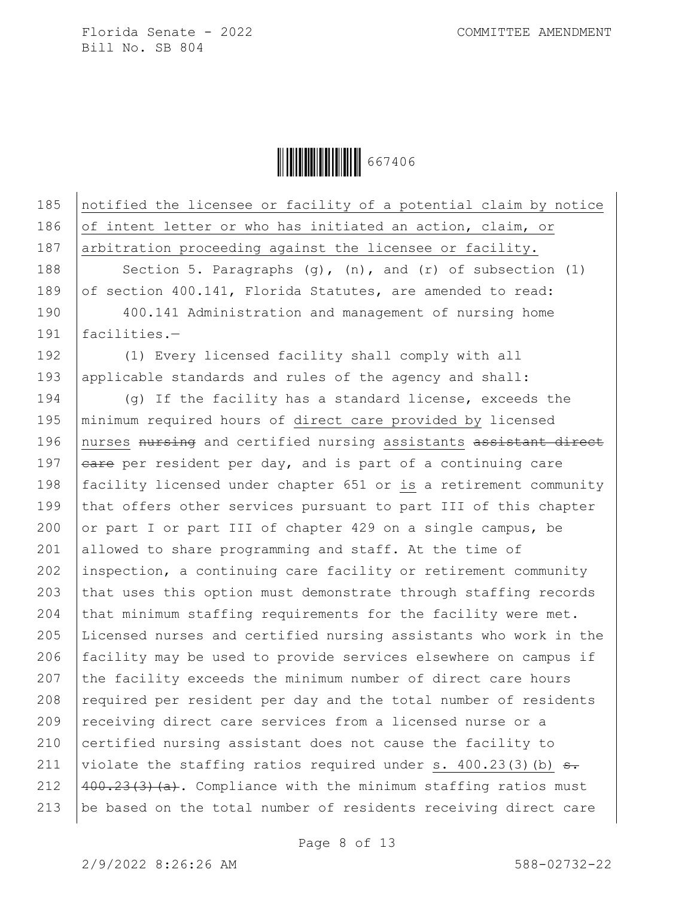Ì6674060Î667406

185 notified the licensee or facility of a potential claim by notice 186 of intent letter or who has initiated an action, claim, or 187 arbitration proceeding against the licensee or facility. 188 Section 5. Paragraphs  $(q)$ ,  $(n)$ , and  $(r)$  of subsection  $(1)$ 189 of section 400.141, Florida Statutes, are amended to read: 190 400.141 Administration and management of nursing home 191 facilities.— 192 (1) Every licensed facility shall comply with all 193 applicable standards and rules of the agency and shall: 194 (g) If the facility has a standard license, exceeds the 195 minimum required hours of direct care provided by licensed 196 nurses nursing and certified nursing assistants assistant direct 197  $eare$  per resident per day, and is part of a continuing care 198 facility licensed under chapter 651 or is a retirement community 199 that offers other services pursuant to part III of this chapter 200 or part I or part III of chapter 429 on a single campus, be 201 allowed to share programming and staff. At the time of 202 inspection, a continuing care facility or retirement community 203  $\vert$  that uses this option must demonstrate through staffing records 204  $|$  that minimum staffing requirements for the facility were met. 205 Licensed nurses and certified nursing assistants who work in the 206 facility may be used to provide services elsewhere on campus if 207 the facility exceeds the minimum number of direct care hours 208  $\vert$  required per resident per day and the total number of residents 209 receiving direct care services from a licensed nurse or a 210 certified nursing assistant does not cause the facility to 211 violate the staffing ratios required under s.  $400.23(3)$  (b)  $\overline{a}$ . 212  $\left[400,23(3)(a)\right]$ . Compliance with the minimum staffing ratios must 213 be based on the total number of residents receiving direct care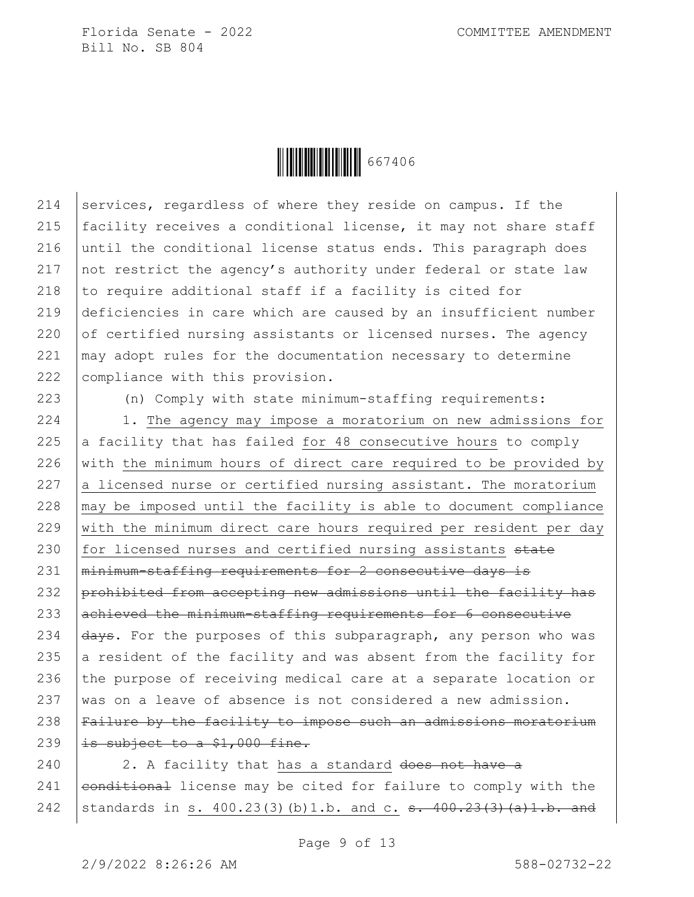

214 services, regardless of where they reside on campus. If the  $|$  facility receives a conditional license, it may not share staff until the conditional license status ends. This paragraph does  $\vert$  not restrict the agency's authority under federal or state law  $|$  to require additional staff if a facility is cited for deficiencies in care which are caused by an insufficient number  $\vert$  of certified nursing assistants or licensed nurses. The agency may adopt rules for the documentation necessary to determine 222 | compliance with this provision.

223 (n) Comply with state minimum-staffing requirements:

224 | 1. The agency may impose a moratorium on new admissions for 225  $\vert$  a facility that has failed for 48 consecutive hours to comply 226 with the minimum hours of direct care required to be provided by 227  $\vert$  a licensed nurse or certified nursing assistant. The moratorium 228  $\vert$  may be imposed until the facility is able to document compliance 229 with the minimum direct care hours required per resident per day 230 for licensed nurses and certified nursing assistants state 231 | minimum-staffing requirements for 2 consecutive days is 232 prohibited from accepting new admissions until the facility has 233 achieved the minimum-staffing requirements for 6 consecutive 234  $\frac{1}{4}$   $\frac{1}{4}$   $\frac{1}{4}$   $\frac{1}{4}$   $\frac{1}{4}$   $\frac{1}{4}$   $\frac{1}{4}$   $\frac{1}{4}$   $\frac{1}{4}$   $\frac{1}{4}$   $\frac{1}{4}$   $\frac{1}{4}$   $\frac{1}{4}$   $\frac{1}{4}$   $\frac{1}{4}$   $\frac{1}{4}$   $\frac{1}{4}$   $\frac{1}{4}$   $\frac{1}{4}$   $\frac{1}{4}$   $\frac{1}{4}$   $\frac{1}{4$ 235 a resident of the facility and was absent from the facility for 236 the purpose of receiving medical care at a separate location or 237 was on a leave of absence is not considered a new admission. 238 Failure by the facility to impose such an admissions moratorium 239  $\vert$  is subject to a \$1,000 fine.

 $240$  | 2. A facility that has a standard does not have a 241  $|$  conditional license may be cited for failure to comply with the 242 standards in s.  $400.23(3)(b)1.b.$  and c. s.  $400.23(3)(a)1.b.$  and

Page 9 of 13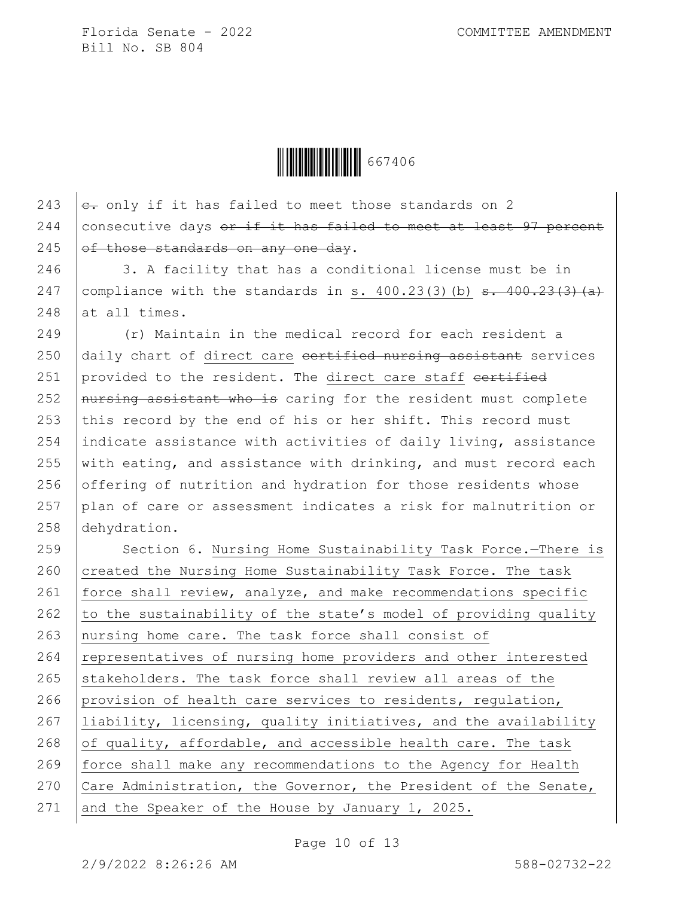Ì6674060Î667406

243  $\left| \frac{e}{\sigma+1} \right|$  only if it has failed to meet those standards on 2 244 consecutive days  $er$  if it has failed to meet at least 97 percent 245  $of$  those standards on any one day.

246 3. A facility that has a conditional license must be in 247 | compliance with the standards in s.  $400.23(3)(b)$  <del>s.  $400.23(3)(a)$ </del>  $248$  at all times.

 (r) Maintain in the medical record for each resident a daily chart of direct care  $\epsilon$  contriguational assistant services 251 provided to the resident. The direct care staff  $\epsilon$ ertified  $\sqrt{a}$  nursing assistant who is caring for the resident must complete 253 this record by the end of his or her shift. This record must indicate assistance with activities of daily living, assistance  $\vert$  with eating, and assistance with drinking, and must record each offering of nutrition and hydration for those residents whose 257 plan of care or assessment indicates a risk for malnutrition or dehydration.

259 | Section 6. Nursing Home Sustainability Task Force.-There is 260 created the Nursing Home Sustainability Task Force. The task 261  $|$  force shall review, analyze, and make recommendations specific 262  $\vert$  to the sustainability of the state's model of providing quality 263 nursing home care. The task force shall consist of 264 representatives of nursing home providers and other interested 265 stakeholders. The task force shall review all areas of the 266 provision of health care services to residents, regulation, 267 liability, licensing, quality initiatives, and the availability 268 of quality, affordable, and accessible health care. The task 269 force shall make any recommendations to the Agency for Health 270 Care Administration, the Governor, the President of the Senate, 271 and the Speaker of the House by January 1, 2025.

Page 10 of 13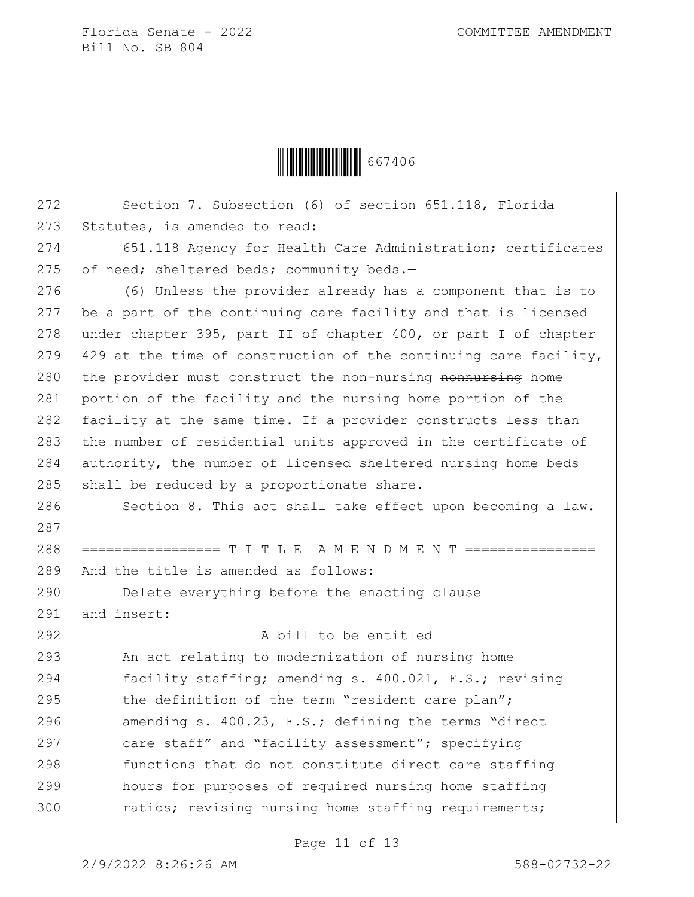Ì6674060Î667406

| 272 | Section 7. Subsection (6) of section 651.118, Florida            |
|-----|------------------------------------------------------------------|
| 273 | Statutes, is amended to read:                                    |
| 274 | 651.118 Agency for Health Care Administration; certificates      |
| 275 | of need; sheltered beds; community beds.-                        |
| 276 | (6) Unless the provider already has a component that is to       |
| 277 | be a part of the continuing care facility and that is licensed   |
| 278 | under chapter 395, part II of chapter 400, or part I of chapter  |
| 279 | 429 at the time of construction of the continuing care facility, |
| 280 | the provider must construct the non-nursing nonnursing home      |
| 281 | portion of the facility and the nursing home portion of the      |
| 282 | facility at the same time. If a provider constructs less than    |
| 283 | the number of residential units approved in the certificate of   |
| 284 | authority, the number of licensed sheltered nursing home beds    |
| 285 | shall be reduced by a proportionate share.                       |
| 286 | Section 8. This act shall take effect upon becoming a law.       |
| 287 |                                                                  |
| 288 | ================= T I T L E A M E N D M E N T ==============     |
| 289 | And the title is amended as follows:                             |
| 290 | Delete everything before the enacting clause                     |
| 291 | and insert:                                                      |
| 292 | A bill to be entitled                                            |
| 293 | An act relating to modernization of nursing home                 |
| 294 | facility staffing; amending s. 400.021, F.S.; revising           |
| 295 | the definition of the term "resident care plan";                 |
| 296 | amending s. 400.23, F.S.; defining the terms "direct             |
| 297 | care staff" and "facility assessment"; specifying                |
| 298 | functions that do not constitute direct care staffing            |
| 299 | hours for purposes of required nursing home staffing             |
| 300 | ratios; revising nursing home staffing requirements;             |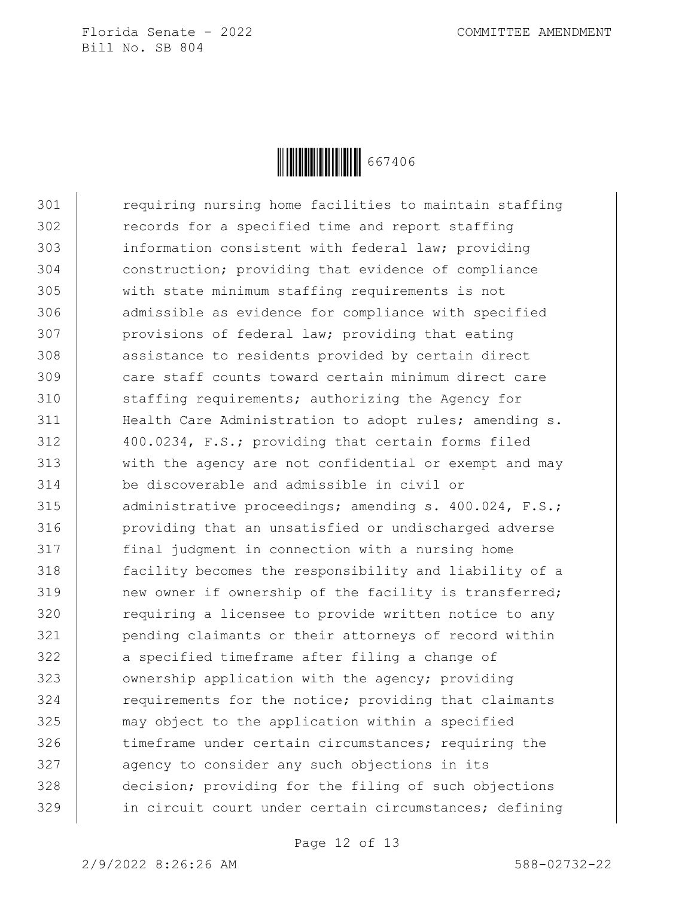

301 Tequiring nursing home facilities to maintain staffing 302 records for a specified time and report staffing 303 information consistent with federal law; providing 304 construction; providing that evidence of compliance 305 with state minimum staffing requirements is not 306 admissible as evidence for compliance with specified 307 **provisions of federal law; providing that eating** 308 assistance to residents provided by certain direct 309 care staff counts toward certain minimum direct care 310 staffing requirements; authorizing the Agency for 311 | Health Care Administration to adopt rules; amending s. 312 400.0234, F.S.; providing that certain forms filed 313 with the agency are not confidential or exempt and may 314 be discoverable and admissible in civil or 315 administrative proceedings; amending s. 400.024, F.S.; 316 providing that an unsatisfied or undischarged adverse 317 final judgment in connection with a nursing home 318 facility becomes the responsibility and liability of a 319 new owner if ownership of the facility is transferred; 320 | requiring a licensee to provide written notice to any 321 pending claimants or their attorneys of record within 322 a specified timeframe after filing a change of 323 | ownership application with the agency; providing 324 Tequirements for the notice; providing that claimants 325 may object to the application within a specified 326 timeframe under certain circumstances; requiring the 327 agency to consider any such objections in its 328 decision; providing for the filing of such objections 329 in circuit court under certain circumstances; defining

Page 12 of 13